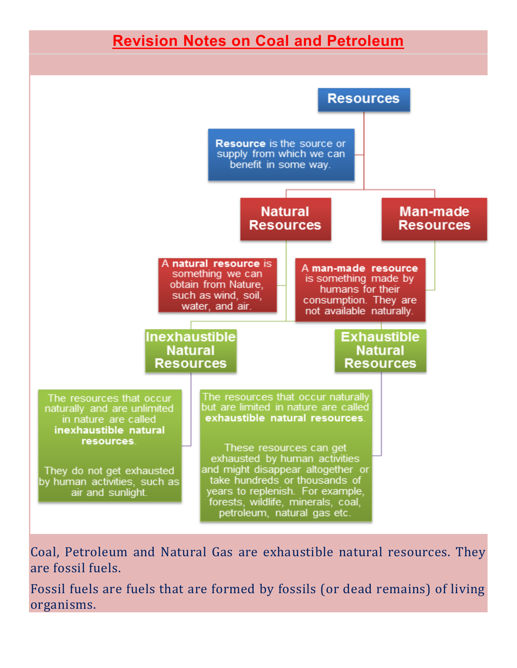## **Revision Notes on Coal and Petroleum**



Coal, Petroleum and Natural Gas are exhaustible natural resources. They are fossil fuels.

Fossil fuels are fuels that are formed by fossils (or dead remains) of living organisms.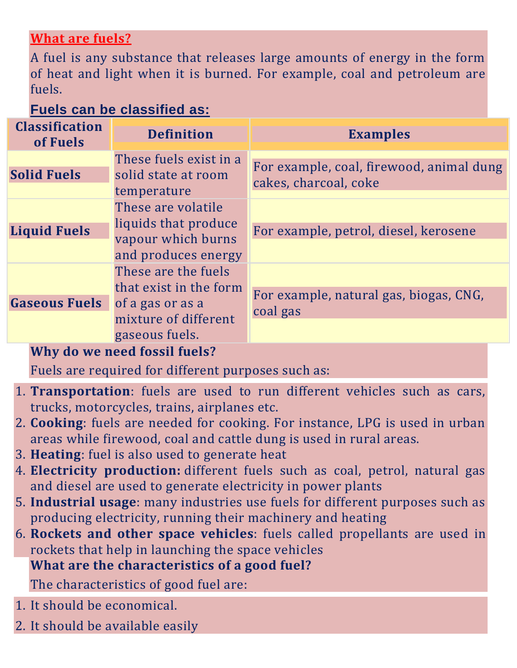## **What are fuels?**

A fuel is any substance that releases large amounts of energy in the form of heat and light when it is burned. For example, coal and petroleum are fuels.

## **Fuels can be classified as:**

| <b>Classification</b><br>of Fuels | <b>Definition</b>                                                                                           | <b>Examples</b>                                                   |
|-----------------------------------|-------------------------------------------------------------------------------------------------------------|-------------------------------------------------------------------|
| <b>Solid Fuels</b>                | These fuels exist in a<br>solid state at room<br>temperature                                                | For example, coal, firewood, animal dung<br>cakes, charcoal, coke |
| <b>Liquid Fuels</b>               | These are volatile<br>liquids that produce<br>vapour which burns<br>and produces energy                     | For example, petrol, diesel, kerosene                             |
| <b>Gaseous Fuels</b>              | These are the fuels<br>that exist in the form<br>of a gas or as a<br>mixture of different<br>gaseous fuels. | For example, natural gas, biogas, CNG,<br>coal gas                |

**Why do we need fossil fuels?**

Fuels are required for different purposes such as:

- 1. **Transportation**: fuels are used to run different vehicles such as cars, trucks, motorcycles, trains, airplanes etc.
- 2. **Cooking**: fuels are needed for cooking. For instance, LPG is used in urban areas while firewood, coal and cattle dung is used in rural areas.
- 3. **Heating**: fuel is also used to generate heat
- 4. **Electricity production:** different fuels such as coal, petrol, natural gas and diesel are used to generate electricity in power plants
- 5. **Industrial usage**: many industries use fuels for different purposes such as producing electricity, running their machinery and heating
- 6. **Rockets and other space vehicles**: fuels called propellants are used in rockets that help in launching the space vehicles **What are the characteristics of a good fuel?**

The characteristics of good fuel are:

- 1. It should be economical.
- 2. It should be available easily